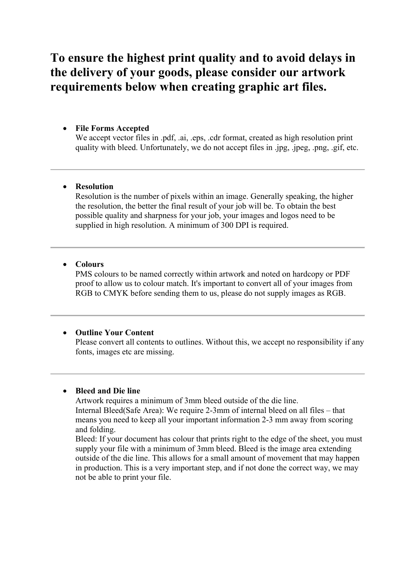## **To ensure the highest print quality and to avoid delays in the delivery of your goods, please consider our artwork requirements below when creating graphic art files.**

### • **File Forms Accepted**

We accept vector files in .pdf, .ai, .eps, .cdr format, created as high resolution print quality with bleed. Unfortunately, we do not accept files in .jpg, .jpeg, .png, .gif, etc.

#### • **Resolution**

Resolution is the number of pixels within an image. Generally speaking, the higher the resolution, the better the final result of your job will be. To obtain the best possible quality and sharpness for your job, your images and logos need to be supplied in high resolution. A minimum of 300 DPI is required.

#### • **Colours**

PMS colours to be named correctly within artwork and noted on hardcopy or PDF proof to allow us to colour match. It's important to convert all of your images from RGB to CMYK before sending them to us, please do not supply images as RGB.

#### • **Outline Your Content**

Please convert all contents to outlines. Without this, we accept no responsibility if any fonts, images etc are missing.

#### • **Bleed and Die line**

Artwork requires a minimum of 3mm bleed outside of the die line. Internal Bleed(Safe Area): We require 2-3mm of internal bleed on all files – that means you need to keep all your important information 2-3 mm away from scoring and folding.

Bleed: If your document has colour that prints right to the edge of the sheet, you must supply your file with a minimum of 3mm bleed. Bleed is the image area extending outside of the die line. This allows for a small amount of movement that may happen in production. This is a very important step, and if not done the correct way, we may not be able to print your file.